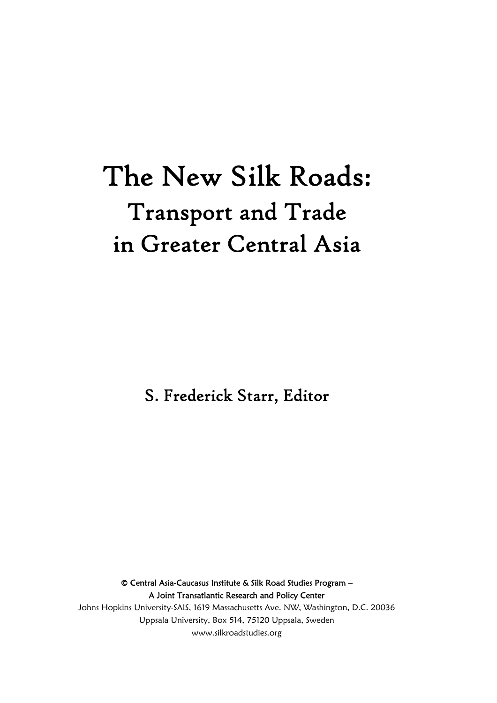## The New Silk Roads: Transport and Trade in Greater Central Asia

S. Frederick Starr, Editor

© Central Asia-Caucasus Institute & Silk Road Studies Program – A Joint Transatlantic Research and Policy Center Johns Hopkins University-SAIS, 1619 Massachusetts Ave. NW, Washington, D.C. 20036 Uppsala University, Box 514, 75120 Uppsala, Sweden www.silkroadstudies.org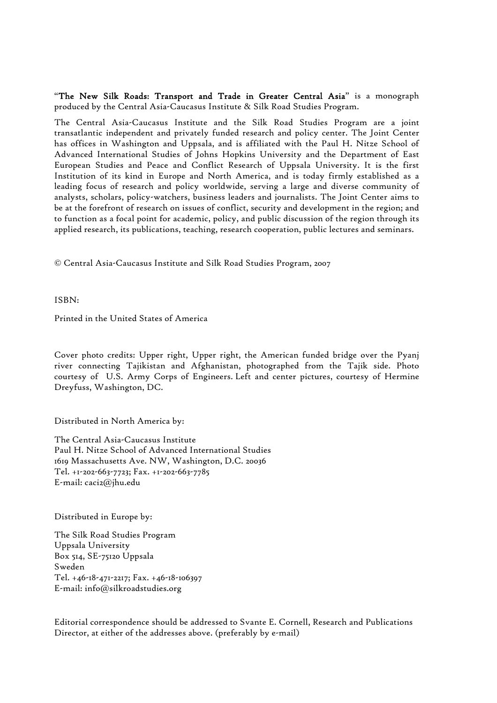"The New Silk Roads: Transport and Trade in Greater Central Asia" is a monograph produced by the Central Asia-Caucasus Institute & Silk Road Studies Program.

The Central Asia-Caucasus Institute and the Silk Road Studies Program are a joint transatlantic independent and privately funded research and policy center. The Joint Center has offices in Washington and Uppsala, and is affiliated with the Paul H. Nitze School of Advanced International Studies of Johns Hopkins University and the Department of East European Studies and Peace and Conflict Research of Uppsala University. It is the first Institution of its kind in Europe and North America, and is today firmly established as a leading focus of research and policy worldwide, serving a large and diverse community of analysts, scholars, policy-watchers, business leaders and journalists. The Joint Center aims to be at the forefront of research on issues of conflict, security and development in the region; and to function as a focal point for academic, policy, and public discussion of the region through its applied research, its publications, teaching, research cooperation, public lectures and seminars.

© Central Asia-Caucasus Institute and Silk Road Studies Program, 2007

ISBN:

Printed in the United States of America

Cover photo credits: Upper right, Upper right, the American funded bridge over the Pyanj river connecting Tajikistan and Afghanistan, photographed from the Tajik side. Photo courtesy of U.S. Army Corps of Engineers. Left and center pictures, courtesy of Hermine Dreyfuss, Washington, DC.

Distributed in North America by:

The Central Asia-Caucasus Institute Paul H. Nitze School of Advanced International Studies 1619 Massachusetts Ave. NW, Washington, D.C. 20036 Tel. +1-202-663-7723; Fax. +1-202-663-7785 E-mail: caci2@jhu.edu

Distributed in Europe by:

The Silk Road Studies Program Uppsala University Box 514, SE-75120 Uppsala Sweden Tel. +46-18-471-2217; Fax. +46-18-106397 E-mail: info@silkroadstudies.org

Editorial correspondence should be addressed to Svante E. Cornell, Research and Publications Director, at either of the addresses above. (preferably by e-mail)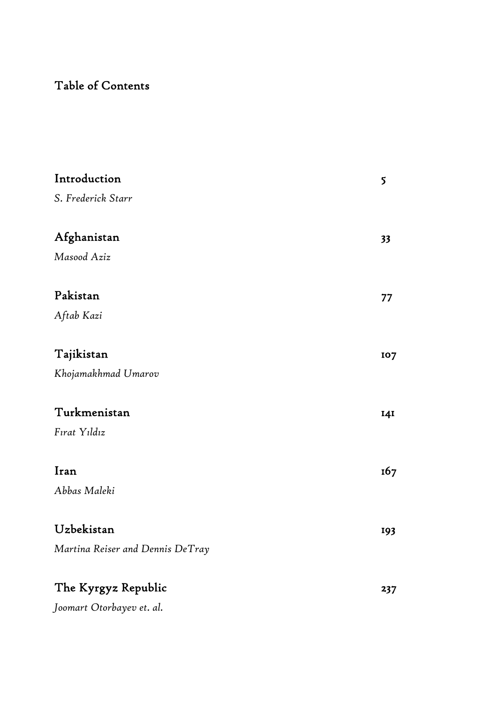## Table of Contents

| Introduction                     | 5   |
|----------------------------------|-----|
| S. Frederick Starr               |     |
|                                  |     |
| Afghanistan                      | 33  |
| Masood Aziz                      |     |
|                                  |     |
| Pakistan                         | 77  |
| Aftab Kazi                       |     |
|                                  |     |
| Tajikistan                       | 107 |
| Khojamakhmad Umarov              |     |
| Turkmenistan                     | 14I |
| Fırat Yıldız                     |     |
|                                  |     |
| Iran                             | 167 |
| Abbas Maleki                     |     |
|                                  |     |
| Uzbekistan                       | 193 |
| Martina Reiser and Dennis DeTray |     |
|                                  |     |
| The Kyrgyz Republic              | 237 |
| Joomart Otorbayev et. al.        |     |